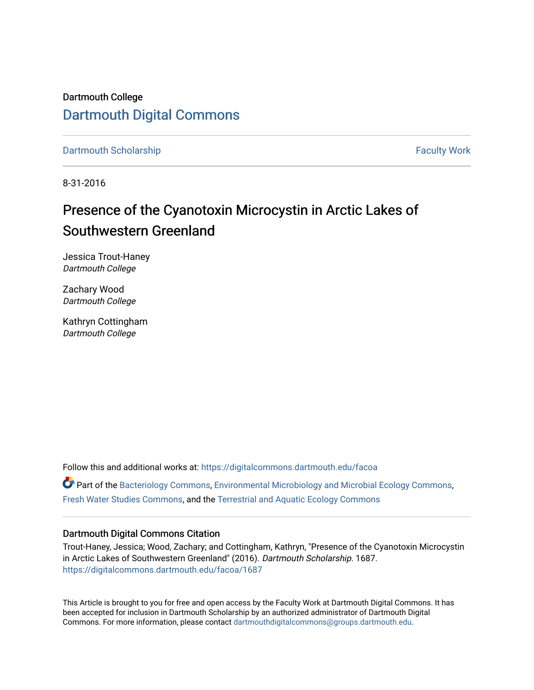Dartmouth College [Dartmouth Digital Commons](https://digitalcommons.dartmouth.edu/) 

[Dartmouth Scholarship](https://digitalcommons.dartmouth.edu/facoa) Faculty Work

8-31-2016

# Presence of the Cyanotoxin Microcystin in Arctic Lakes of Southwestern Greenland

Jessica Trout-Haney Dartmouth College

Zachary Wood Dartmouth College

Kathryn Cottingham Dartmouth College

Follow this and additional works at: [https://digitalcommons.dartmouth.edu/facoa](https://digitalcommons.dartmouth.edu/facoa?utm_source=digitalcommons.dartmouth.edu%2Ffacoa%2F1687&utm_medium=PDF&utm_campaign=PDFCoverPages)  $\bullet$  Part of the [Bacteriology Commons](http://network.bepress.com/hgg/discipline/49?utm_source=digitalcommons.dartmouth.edu%2Ffacoa%2F1687&utm_medium=PDF&utm_campaign=PDFCoverPages), [Environmental Microbiology and Microbial Ecology Commons](http://network.bepress.com/hgg/discipline/50?utm_source=digitalcommons.dartmouth.edu%2Ffacoa%2F1687&utm_medium=PDF&utm_campaign=PDFCoverPages), [Fresh Water Studies Commons,](http://network.bepress.com/hgg/discipline/189?utm_source=digitalcommons.dartmouth.edu%2Ffacoa%2F1687&utm_medium=PDF&utm_campaign=PDFCoverPages) and the [Terrestrial and Aquatic Ecology Commons](http://network.bepress.com/hgg/discipline/20?utm_source=digitalcommons.dartmouth.edu%2Ffacoa%2F1687&utm_medium=PDF&utm_campaign=PDFCoverPages)

### Dartmouth Digital Commons Citation

Trout-Haney, Jessica; Wood, Zachary; and Cottingham, Kathryn, "Presence of the Cyanotoxin Microcystin in Arctic Lakes of Southwestern Greenland" (2016). Dartmouth Scholarship. 1687. [https://digitalcommons.dartmouth.edu/facoa/1687](https://digitalcommons.dartmouth.edu/facoa/1687?utm_source=digitalcommons.dartmouth.edu%2Ffacoa%2F1687&utm_medium=PDF&utm_campaign=PDFCoverPages) 

This Article is brought to you for free and open access by the Faculty Work at Dartmouth Digital Commons. It has been accepted for inclusion in Dartmouth Scholarship by an authorized administrator of Dartmouth Digital Commons. For more information, please contact [dartmouthdigitalcommons@groups.dartmouth.edu](mailto:dartmouthdigitalcommons@groups.dartmouth.edu).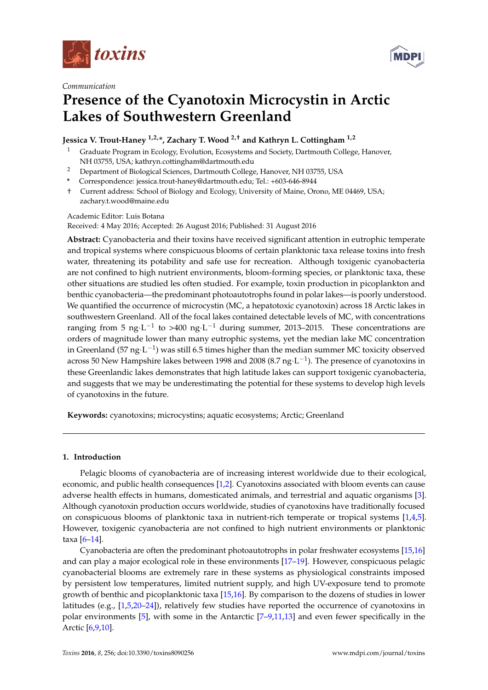



#### *Communication*

# **Presence of the Cyanotoxin Microcystin in Arctic Lakes of Southwestern Greenland**

### **Jessica V. Trout-Haney 1,2,\*, Zachary T. Wood 2,† and Kathryn L. Cottingham 1,2**

- <sup>1</sup> Graduate Program in Ecology, Evolution, Ecosystems and Society, Dartmouth College, Hanover, NH 03755, USA; kathryn.cottingham@dartmouth.edu
- <sup>2</sup> Department of Biological Sciences, Dartmouth College, Hanover, NH 03755, USA
- **\*** Correspondence: jessica.trout-haney@dartmouth.edu; Tel.: +603-646-8944
- † Current address: School of Biology and Ecology, University of Maine, Orono, ME 04469, USA; zachary.t.wood@maine.edu

#### Academic Editor: Luis Botana

Received: 4 May 2016; Accepted: 26 August 2016; Published: 31 August 2016

**Abstract:** Cyanobacteria and their toxins have received significant attention in eutrophic temperate and tropical systems where conspicuous blooms of certain planktonic taxa release toxins into fresh water, threatening its potability and safe use for recreation. Although toxigenic cyanobacteria are not confined to high nutrient environments, bloom-forming species, or planktonic taxa, these other situations are studied les often studied. For example, toxin production in picoplankton and benthic cyanobacteria—the predominant photoautotrophs found in polar lakes—is poorly understood. We quantified the occurrence of microcystin (MC, a hepatotoxic cyanotoxin) across 18 Arctic lakes in southwestern Greenland. All of the focal lakes contained detectable levels of MC, with concentrations ranging from 5 ng $\cdot$ L $^{-1}$  to >400 ng $\cdot$ L $^{-1}$  during summer, 2013–2015. These concentrations are orders of magnitude lower than many eutrophic systems, yet the median lake MC concentration in Greenland (57 ng·L $^{-1}$ ) was still 6.5 times higher than the median summer MC toxicity observed across 50 New Hampshire lakes between 1998 and 2008 (8.7 ng $\cdot$ L $^{-1}$ ). The presence of cyanotoxins in these Greenlandic lakes demonstrates that high latitude lakes can support toxigenic cyanobacteria, and suggests that we may be underestimating the potential for these systems to develop high levels of cyanotoxins in the future.

**Keywords:** cyanotoxins; microcystins; aquatic ecosystems; Arctic; Greenland

#### **1. Introduction**

Pelagic blooms of cyanobacteria are of increasing interest worldwide due to their ecological, economic, and public health consequences [\[1](#page-4-0)[,2\]](#page-4-1). Cyanotoxins associated with bloom events can cause adverse health effects in humans, domesticated animals, and terrestrial and aquatic organisms [\[3\]](#page-4-2). Although cyanotoxin production occurs worldwide, studies of cyanotoxins have traditionally focused on conspicuous blooms of planktonic taxa in nutrient-rich temperate or tropical systems [\[1,](#page-4-0)[4,](#page-5-0)[5\]](#page-5-1). However, toxigenic cyanobacteria are not confined to high nutrient environments or planktonic taxa  $[6-14]$  $[6-14]$ .

Cyanobacteria are often the predominant photoautotrophs in polar freshwater ecosystems [\[15,](#page-5-4)[16\]](#page-5-5) and can play a major ecological role in these environments [\[17–](#page-5-6)[19\]](#page-5-7). However, conspicuous pelagic cyanobacterial blooms are extremely rare in these systems as physiological constraints imposed by persistent low temperatures, limited nutrient supply, and high UV-exposure tend to promote growth of benthic and picoplanktonic taxa [\[15](#page-5-4)[,16\]](#page-5-5). By comparison to the dozens of studies in lower latitudes (e.g., [\[1,](#page-4-0)[5,](#page-5-1)[20–](#page-5-8)[24\]](#page-6-0)), relatively few studies have reported the occurrence of cyanotoxins in polar environments [\[5\]](#page-5-1), with some in the Antarctic [\[7–](#page-5-9)[9,](#page-5-10)[11](#page-5-11)[,13\]](#page-5-12) and even fewer specifically in the Arctic [\[6](#page-5-2)[,9](#page-5-10)[,10\]](#page-5-13).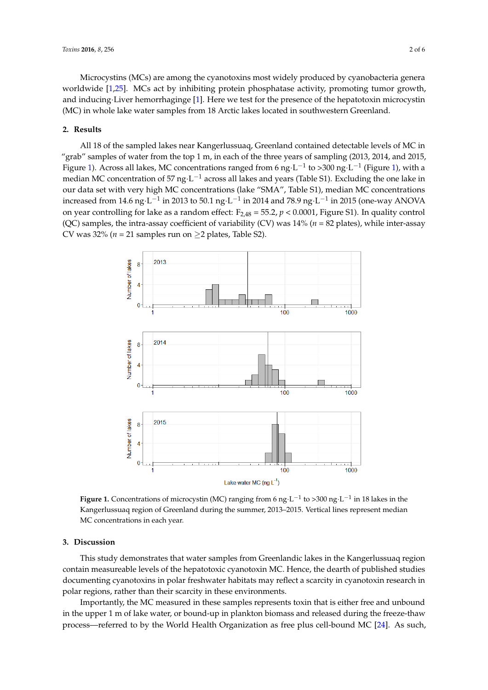Microcystins (MCs) are among the cyanotoxins most widely produced by cyanobacteria genera worldwide [\[1](#page-4-0)[,25\]](#page-6-1). MCs act by inhibiting protein phosphatase activity, promoting tumor growth, and inducing Liver hemorrhaginge [\[1\]](#page-4-0). Here we test for the presence of the hepatotoxin microcystin (MC) in whole lake water samples from 18 Arctic lakes located in southwestern Greenland. in whole lake water samples from 18 Arctic lakes located in southwestern Greenland. awac [1,25]. MCs act by inhibiting protein phosphatase activity, promoting tumor grow

## **2. Results 2. Results**

All 18 of the sampled lakes near Kangerlussuaq, Greenland contained detectable levels of MC in All 18 of the sampled lakes near Kangerlussuaq, Greenland contained detectable levels of MC in "grab" samples of water from the top 1 m, in each of the three years of sampling (2013, 2014, and 2015, Fi[gur](#page-2-0)e 1). Across all lakes, MC concentrations ranged from 6 ng L<sup>-1</sup> to >300 ng L<sup>-1</sup> (Figure 1), with a median MC concentration of 57 ng $\cdot$ L<sup>−1</sup> across all lakes and years (Table S1). Excluding the one lake in our data set with very high MC concentrations (lake "SMA", Table S1), median MC concentrations increased from 14.6 ng $\cdot$ L $^{-1}$  in 2013 to 50.1 ng $\cdot$ L $^{-1}$  in 2014 and 78.9 ng $\cdot$ L $^{-1}$  in 2015 (one-way ANOVA on year controlling for lake as a random effect: F<sub>2,48</sub> = 55.2, *p* < 0.0001, Figure S1). In quality control (QC) samples, the intra-assay coefficient of variability (CV) was 14% ( $n = 82$  plates), while inter-assay  $CV was 32% (n = 21 samples run on  $\geq 2$  plates, Table S2).$ 

<span id="page-2-0"></span>

**Figure 1.** Concentrations of microcystin (MC) ranging from 6 ng·L<sup>-1</sup> to >300 ng·L<sup>-1</sup> in 18 lakes in the Kangerlussuaq region of Greenland during the summer, 2013–2015. Vertical lines represent median Kangerlussuaq region of Greenland during the summer, 2013–2015. Vertical lines represent median MC concentrations in each year. MC concentrations in each year.

# **3. Discussion 3. Discussion**

This study demonstrates that water samples from Greenlandic lakes in the Kangerlussuaq This study demonstrates that water samples from Greenlandic lakes in the Kangerlussuaq region contain measureable levels of the hepatotoxic cyanotoxin MC. Hence, the dearth of published studies documenting cyanotoxins in polar freshwater habitats may reflect a scarcity in cyanotoxin research in polar regions, rather than their scarcity in these environments.

Importantly, the MC measured in these samples represents toxin that is either free and unbound in the upper 1 m of lake water, or bound-up in plankton biomass and released during the freeze-thaw process—referred to by the World Health Organization as free plus cell-bound MC [\[24\]](#page-6-0). As such,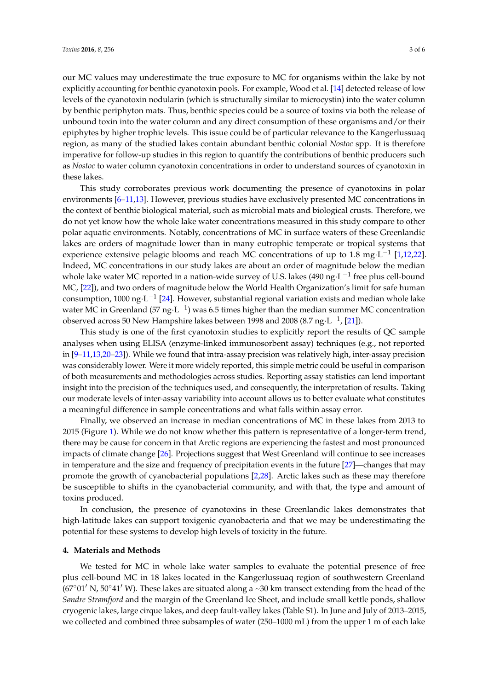our MC values may underestimate the true exposure to MC for organisms within the lake by not explicitly accounting for benthic cyanotoxin pools. For example, Wood et al. [\[14\]](#page-5-3) detected release of low levels of the cyanotoxin nodularin (which is structurally similar to microcystin) into the water column by benthic periphyton mats. Thus, benthic species could be a source of toxins via both the release of unbound toxin into the water column and any direct consumption of these organisms and/or their epiphytes by higher trophic levels. This issue could be of particular relevance to the Kangerlussuaq region, as many of the studied lakes contain abundant benthic colonial *Nostoc* spp. It is therefore imperative for follow-up studies in this region to quantify the contributions of benthic producers such as *Nostoc* to water column cyanotoxin concentrations in order to understand sources of cyanotoxin in these lakes.

This study corroborates previous work documenting the presence of cyanotoxins in polar environments [\[6–](#page-5-2)[11](#page-5-11)[,13\]](#page-5-12). However, previous studies have exclusively presented MC concentrations in the context of benthic biological material, such as microbial mats and biological crusts. Therefore, we do not yet know how the whole lake water concentrations measured in this study compare to other polar aquatic environments. Notably, concentrations of MC in surface waters of these Greenlandic lakes are orders of magnitude lower than in many eutrophic temperate or tropical systems that experience extensive pelagic blooms and reach MC concentrations of up to 1.8 mg·L<sup>-1</sup> [\[1,](#page-4-0)[12,](#page-5-14)[22\]](#page-5-15). Indeed, MC concentrations in our study lakes are about an order of magnitude below the median whole lake water MC reported in a nation-wide survey of U.S. lakes (490 ng $\cdot$ L $^{-1}$  free plus cell-bound MC, [\[22\]](#page-5-15)), and two orders of magnitude below the World Health Organization's limit for safe human consumption, 1000 ng $\cdot$ L<sup>-1</sup> [\[24\]](#page-6-0). However, substantial regional variation exists and median whole lake water MC in Greenland (57 ng·L<sup>-1</sup>) was 6.5 times higher than the median summer MC concentration observed across 50 New Hampshire lakes between 1998 and 2008 (8.7 ng·L $^{-1}$ , [\[21\]](#page-5-16)).

This study is one of the first cyanotoxin studies to explicitly report the results of QC sample analyses when using ELISA (enzyme-linked immunosorbent assay) techniques (e.g., not reported in [\[9–](#page-5-10)[11](#page-5-11)[,13](#page-5-12)[,20](#page-5-8)[–23\]](#page-5-17)). While we found that intra-assay precision was relatively high, inter-assay precision was considerably lower. Were it more widely reported, this simple metric could be useful in comparison of both measurements and methodologies across studies. Reporting assay statistics can lend important insight into the precision of the techniques used, and consequently, the interpretation of results. Taking our moderate levels of inter-assay variability into account allows us to better evaluate what constitutes a meaningful difference in sample concentrations and what falls within assay error.

Finally, we observed an increase in median concentrations of MC in these lakes from 2013 to 2015 (Figure [1\)](#page-2-0). While we do not know whether this pattern is representative of a longer-term trend, there may be cause for concern in that Arctic regions are experiencing the fastest and most pronounced impacts of climate change [\[26\]](#page-6-2). Projections suggest that West Greenland will continue to see increases in temperature and the size and frequency of precipitation events in the future [\[27\]](#page-6-3)—changes that may promote the growth of cyanobacterial populations [\[2,](#page-4-1)[28\]](#page-6-4). Arctic lakes such as these may therefore be susceptible to shifts in the cyanobacterial community, and with that, the type and amount of toxins produced.

In conclusion, the presence of cyanotoxins in these Greenlandic lakes demonstrates that high-latitude lakes can support toxigenic cyanobacteria and that we may be underestimating the potential for these systems to develop high levels of toxicity in the future.

#### **4. Materials and Methods**

We tested for MC in whole lake water samples to evaluate the potential presence of free plus cell-bound MC in 18 lakes located in the Kangerlussuaq region of southwestern Greenland  $(67°01'$  N,  $50°41'$  W). These lakes are situated along a ~30 km transect extending from the head of the *Søndre Strømfjord* and the margin of the Greenland Ice Sheet, and include small kettle ponds, shallow cryogenic lakes, large cirque lakes, and deep fault-valley lakes (Table S1). In June and July of 2013–2015, we collected and combined three subsamples of water (250–1000 mL) from the upper 1 m of each lake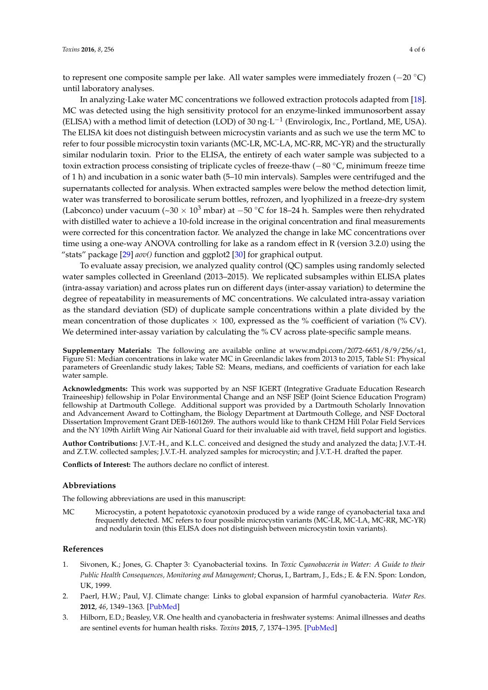to represent one composite sample per lake. All water samples were immediately frozen (−20 ◦C) until laboratory analyses.

In analyzing·Lake water MC concentrations we followed extraction protocols adapted from [\[18\]](#page-5-18). MC was detected using the high sensitivity protocol for an enzyme-linked immunosorbent assay (ELISA) with a method limit of detection (LOD) of 30 ng $\cdot$ L<sup>-1</sup> (Envirologix, Inc., Portland, ME, USA). The ELISA kit does not distinguish between microcystin variants and as such we use the term MC to refer to four possible microcystin toxin variants (MC-LR, MC-LA, MC-RR, MC-YR) and the structurally similar nodularin toxin. Prior to the ELISA, the entirety of each water sample was subjected to a toxin extraction process consisting of triplicate cycles of freeze-thaw (−80 ◦C, minimum freeze time of 1 h) and incubation in a sonic water bath (5–10 min intervals). Samples were centrifuged and the supernatants collected for analysis. When extracted samples were below the method detection limit, water was transferred to borosilicate serum bottles, refrozen, and lyophilized in a freeze-dry system (Labconco) under vacuum (~30 × 10<sup>3</sup> mbar) at −50 °C for 18–24 h. Samples were then rehydrated with distilled water to achieve a 10-fold increase in the original concentration and final measurements were corrected for this concentration factor. We analyzed the change in lake MC concentrations over time using a one-way ANOVA controlling for lake as a random effect in R (version 3.2.0) using the "stats" package [\[29\]](#page-6-5) *aov()* function and ggplot2 [\[30\]](#page-6-6) for graphical output.

To evaluate assay precision, we analyzed quality control (QC) samples using randomly selected water samples collected in Greenland (2013–2015). We replicated subsamples within ELISA plates (intra-assay variation) and across plates run on different days (inter-assay variation) to determine the degree of repeatability in measurements of MC concentrations. We calculated intra-assay variation as the standard deviation (SD) of duplicate sample concentrations within a plate divided by the mean concentration of those duplicates  $\times$  100, expressed as the % coefficient of variation (% CV). We determined inter-assay variation by calculating the % CV across plate-specific sample means.

**Supplementary Materials:** The following are available online at [www.mdpi.com/2072-6651/8/9/256/s1,](www.mdpi.com/2072-6651/8/9/256/s1) Figure S1: Median concentrations in lake water MC in Greenlandic lakes from 2013 to 2015, Table S1: Physical parameters of Greenlandic study lakes; Table S2: Means, medians, and coefficients of variation for each lake water sample.

**Acknowledgments:** This work was supported by an NSF IGERT (Integrative Graduate Education Research Traineeship) fellowship in Polar Environmental Change and an NSF JSEP (Joint Science Education Program) fellowship at Dartmouth College. Additional support was provided by a Dartmouth Scholarly Innovation and Advancement Award to Cottingham, the Biology Department at Dartmouth College, and NSF Doctoral Dissertation Improvement Grant DEB-1601269. The authors would like to thank CH2M Hill Polar Field Services and the NY 109th Airlift Wing Air National Guard for their invaluable aid with travel, field support and logistics.

**Author Contributions:** J.V.T.-H., and K.L.C. conceived and designed the study and analyzed the data; J.V.T.-H. and Z.T.W. collected samples; J.V.T.-H. analyzed samples for microcystin; and J.V.T.-H. drafted the paper.

**Conflicts of Interest:** The authors declare no conflict of interest.

#### **Abbreviations**

The following abbreviations are used in this manuscript:

MC Microcystin, a potent hepatotoxic cyanotoxin produced by a wide range of cyanobacterial taxa and frequently detected. MC refers to four possible microcystin variants (MC-LR, MC-LA, MC-RR, MC-YR) and nodularin toxin (this ELISA does not distinguish between microcystin toxin variants).

#### **References**

- <span id="page-4-0"></span>1. Sivonen, K.; Jones, G. Chapter 3: Cyanobacterial toxins. In *Toxic Cyanobaceria in Water: A Guide to their Public Health Consequences, Monitoring and Management*; Chorus, I., Bartram, J., Eds.; E. & F.N. Spon: London, UK, 1999.
- <span id="page-4-1"></span>2. Paerl, H.W.; Paul, V.J. Climate change: Links to global expansion of harmful cyanobacteria. *Water Res.* **2012**, *46*, 1349–1363. [\[PubMed\]](http://www.ncbi.nlm.nih.gov/pubmed/21893330)
- <span id="page-4-2"></span>3. Hilborn, E.D.; Beasley, V.R. One health and cyanobacteria in freshwater systems: Animal illnesses and deaths are sentinel events for human health risks. *Toxins* **2015**, *7*, 1374–1395. [\[PubMed\]](http://www.ncbi.nlm.nih.gov/pubmed/25903764)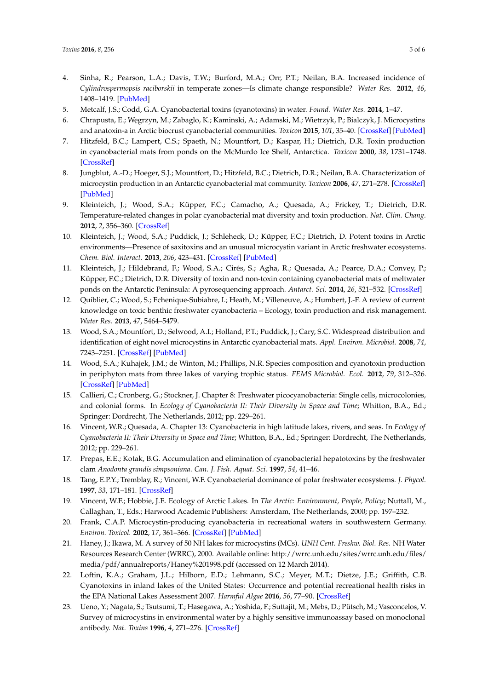- <span id="page-5-0"></span>4. Sinha, R.; Pearson, L.A.; Davis, T.W.; Burford, M.A.; Orr, P.T.; Neilan, B.A. Increased incidence of *Cylindrospermopsis raciborskii* in temperate zones—Is climate change responsible? *Water Res.* **2012**, *46*, 1408–1419. [\[PubMed\]](http://www.ncbi.nlm.nih.gov/pubmed/22284981)
- <span id="page-5-1"></span>5. Metcalf, J.S.; Codd, G.A. Cyanobacterial toxins (cyanotoxins) in water. *Found. Water Res.* **2014**, 1–47.
- <span id="page-5-2"></span>6. Chrapusta, E.; W˛egrzyn, M.; Zabaglo, K.; Kaminski, A.; Adamski, M.; Wietrzyk, P.; Bialczyk, J. Microcystins and anatoxin-a in Arctic biocrust cyanobacterial communities. *Toxicon* **2015**, *101*, 35–40. [\[CrossRef\]](http://dx.doi.org/10.1016/j.toxicon.2015.04.016) [\[PubMed\]](http://www.ncbi.nlm.nih.gov/pubmed/25937338)
- <span id="page-5-9"></span>7. Hitzfeld, B.C.; Lampert, C.S.; Spaeth, N.; Mountfort, D.; Kaspar, H.; Dietrich, D.R. Toxin production in cyanobacterial mats from ponds on the McMurdo Ice Shelf, Antarctica. *Toxicon* **2000**, *38*, 1731–1748. [\[CrossRef\]](http://dx.doi.org/10.1016/S0041-0101(00)00103-3)
- 8. Jungblut, A.-D.; Hoeger, S.J.; Mountfort, D.; Hitzfeld, B.C.; Dietrich, D.R.; Neilan, B.A. Characterization of microcystin production in an Antarctic cyanobacterial mat community. *Toxicon* **2006**, *47*, 271–278. [\[CrossRef\]](http://dx.doi.org/10.1016/j.toxicon.2005.11.002) [\[PubMed\]](http://www.ncbi.nlm.nih.gov/pubmed/16386280)
- <span id="page-5-10"></span>9. Kleinteich, J.; Wood, S.A.; Küpper, F.C.; Camacho, A.; Quesada, A.; Frickey, T.; Dietrich, D.R. Temperature-related changes in polar cyanobacterial mat diversity and toxin production. *Nat. Clim. Chang.* **2012**, *2*, 356–360. [\[CrossRef\]](http://dx.doi.org/10.1038/nclimate1418)
- <span id="page-5-13"></span>10. Kleinteich, J.; Wood, S.A.; Puddick, J.; Schleheck, D.; Küpper, F.C.; Dietrich, D. Potent toxins in Arctic environments—Presence of saxitoxins and an unusual microcystin variant in Arctic freshwater ecosystems. *Chem. Biol. Interact.* **2013**, *206*, 423–431. [\[CrossRef\]](http://dx.doi.org/10.1016/j.cbi.2013.04.011) [\[PubMed\]](http://www.ncbi.nlm.nih.gov/pubmed/23648386)
- <span id="page-5-11"></span>11. Kleinteich, J.; Hildebrand, F.; Wood, S.A.; Cirés, S.; Agha, R.; Quesada, A.; Pearce, D.A.; Convey, P.; Küpper, F.C.; Dietrich, D.R. Diversity of toxin and non-toxin containing cyanobacterial mats of meltwater ponds on the Antarctic Peninsula: A pyrosequencing approach. *Antarct. Sci.* **2014**, *26*, 521–532. [\[CrossRef\]](http://dx.doi.org/10.1017/S0954102014000145)
- <span id="page-5-14"></span>12. Quiblier, C.; Wood, S.; Echenique-Subiabre, I.; Heath, M.; Villeneuve, A.; Humbert, J.-F. A review of current knowledge on toxic benthic freshwater cyanobacteria – Ecology, toxin production and risk management. *Water Res.* **2013**, *47*, 5464–5479.
- <span id="page-5-12"></span>13. Wood, S.A.; Mountfort, D.; Selwood, A.I.; Holland, P.T.; Puddick, J.; Cary, S.C. Widespread distribution and identification of eight novel microcystins in Antarctic cyanobacterial mats. *Appl. Environ. Microbiol.* **2008**, *74*, 7243–7251. [\[CrossRef\]](http://dx.doi.org/10.1128/AEM.01243-08) [\[PubMed\]](http://www.ncbi.nlm.nih.gov/pubmed/18849457)
- <span id="page-5-3"></span>14. Wood, S.A.; Kuhajek, J.M.; de Winton, M.; Phillips, N.R. Species composition and cyanotoxin production in periphyton mats from three lakes of varying trophic status. *FEMS Microbiol. Ecol.* **2012**, *79*, 312–326. [\[CrossRef\]](http://dx.doi.org/10.1111/j.1574-6941.2011.01217.x) [\[PubMed\]](http://www.ncbi.nlm.nih.gov/pubmed/22092304)
- <span id="page-5-4"></span>15. Callieri, C.; Cronberg, G.; Stockner, J. Chapter 8: Freshwater picocyanobacteria: Single cells, microcolonies, and colonial forms. In *Ecology of Cyanobacteria II: Their Diversity in Space and Time*; Whitton, B.A., Ed.; Springer: Dordrecht, The Netherlands, 2012; pp. 229–261.
- <span id="page-5-5"></span>16. Vincent, W.R.; Quesada, A. Chapter 13: Cyanobacteria in high latitude lakes, rivers, and seas. In *Ecology of Cyanobacteria II: Their Diversity in Space and Time*; Whitton, B.A., Ed.; Springer: Dordrecht, The Netherlands, 2012; pp. 229–261.
- <span id="page-5-6"></span>17. Prepas, E.E.; Kotak, B.G. Accumulation and elimination of cyanobacterial hepatotoxins by the freshwater clam *Anodonta grandis simpsoniana*. *Can. J. Fish. Aquat. Sci.* **1997**, *54*, 41–46.
- <span id="page-5-18"></span>18. Tang, E.P.Y.; Tremblay, R.; Vincent, W.F. Cyanobacterial dominance of polar freshwater ecosystems. *J. Phycol.* **1997**, *33*, 171–181. [\[CrossRef\]](http://dx.doi.org/10.1111/j.0022-3646.1997.00171.x)
- <span id="page-5-7"></span>19. Vincent, W.F.; Hobbie, J.E. Ecology of Arctic Lakes. In *The Arctic: Environment, People, Policy*; Nuttall, M., Callaghan, T., Eds.; Harwood Academic Publishers: Amsterdam, The Netherlands, 2000; pp. 197–232.
- <span id="page-5-8"></span>20. Frank, C.A.P. Microcystin-producing cyanobacteria in recreational waters in southwestern Germany. *Environ. Toxicol.* **2002**, *17*, 361–366. [\[CrossRef\]](http://dx.doi.org/10.1002/tox.10068) [\[PubMed\]](http://www.ncbi.nlm.nih.gov/pubmed/12203958)
- <span id="page-5-16"></span>21. Haney, J.; Ikawa, M. A survey of 50 NH lakes for microcystins (MCs). *UNH Cent. Freshw. Biol. Res.* NH Water Resources Research Center (WRRC), 2000. Available online: [http://wrrc.unh.edu/sites/wrrc.unh.edu/files/](http://wrrc.unh.edu/sites/wrrc.unh.edu/files/media/pdf/annualreports/Haney%201998.pdf) [media/pdf/annualreports/Haney%201998.pdf](http://wrrc.unh.edu/sites/wrrc.unh.edu/files/media/pdf/annualreports/Haney%201998.pdf) (accessed on 12 March 2014).
- <span id="page-5-15"></span>22. Loftin, K.A.; Graham, J.L.; Hilborn, E.D.; Lehmann, S.C.; Meyer, M.T.; Dietze, J.E.; Griffith, C.B. Cyanotoxins in inland lakes of the United States: Occurrence and potential recreational health risks in the EPA National Lakes Assessment 2007. *Harmful Algae* **2016**, *56*, 77–90. [\[CrossRef\]](http://dx.doi.org/10.1016/j.hal.2016.04.001)
- <span id="page-5-17"></span>23. Ueno, Y.; Nagata, S.; Tsutsumi, T.; Hasegawa, A.; Yoshida, F.; Suttajit, M.; Mebs, D.; Pütsch, M.; Vasconcelos, V. Survey of microcystins in environmental water by a highly sensitive immunoassay based on monoclonal antibody. *Nat. Toxins* **1996**, *4*, 271–276. [\[CrossRef\]](http://dx.doi.org/10.1002/(SICI)(1996)4:6<271::AID-NT4>3.0.CO;2-A)